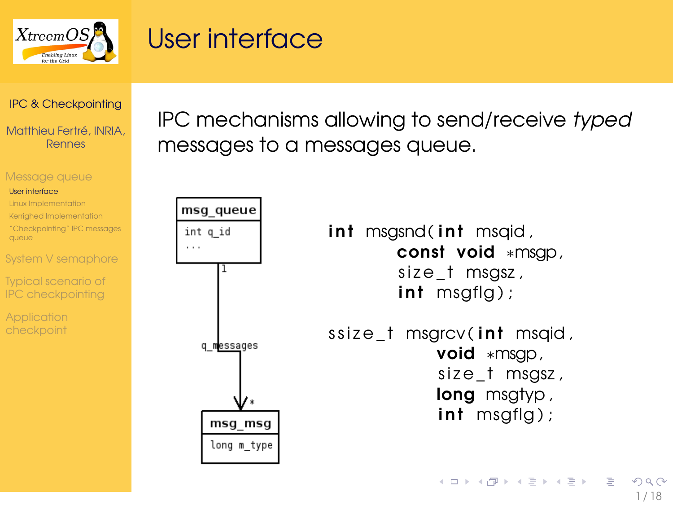

### User interface

<span id="page-0-0"></span> $\sim$   $\sim$   $\sim$ 

### [IPC & Checkpointing](#page-17-0)

Matthieu Fertré, INRIA, Rennes

#### [Message queue](#page-0-0)

#### [User interface](#page-0-0)

- [Linux Implementation](#page-1-0)
- [Kerrighed Implementation](#page-2-0)
- ["Checkpointing" IPC messages](#page-3-0) queue
- [System V semaphore](#page-4-0)
- [Typical scenario of](#page-10-0) IPC checkpointing
- 

IPC mechanisms allowing to send/receive typed messages to a messages queue.

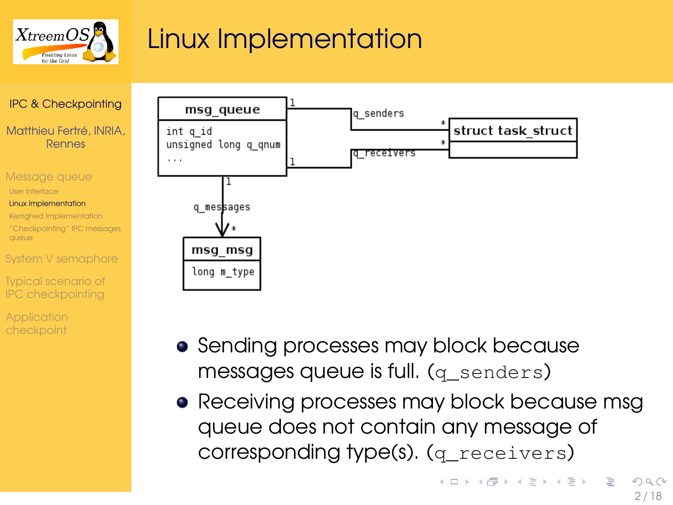

# Linux Implementation



[Typical scenario of](#page-10-0) IPC checkpointing



- **•** Sending processes may block because messages queue is full. (q\_senders)
- <span id="page-1-0"></span>• Receiving processes may block because msg queue does not contain any message of corresponding type(s). (q\_receivers)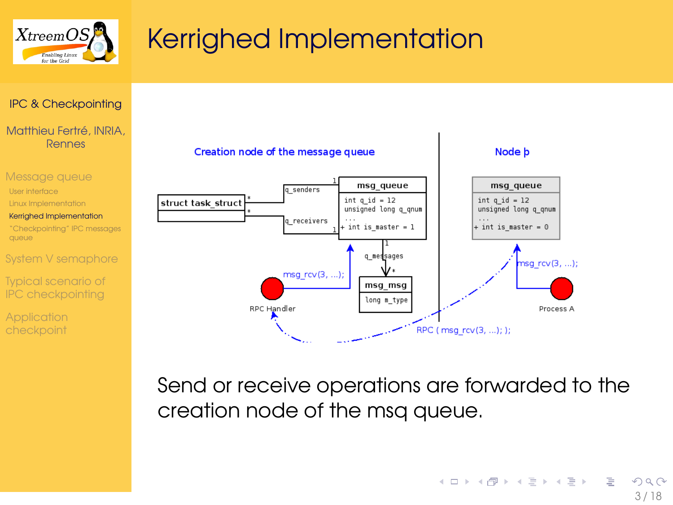



#### Matthieu Fertré, INRIA, Rennes



- [Typical scenario of](#page-10-0)
- IPC checkpointing
- **[Application](#page-12-0)**



<span id="page-2-0"></span>Send or receive operations are forwarded to the creation node of the msq queue.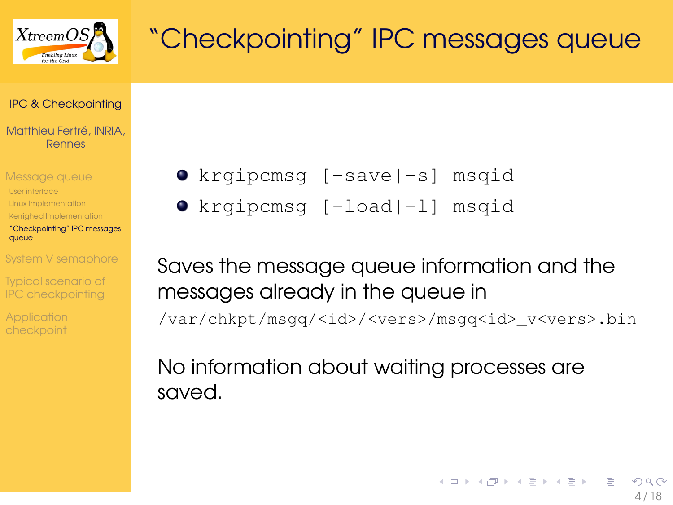

# "Checkpointing" IPC messages queue

### [IPC & Checkpointing](#page-0-0)

Matthieu Fertré, INRIA, Rennes

[Message queue](#page-0-0) [User interface](#page-0-0) [Linux Implementation](#page-1-0) [Kerrighed Implementation](#page-2-0) ["Checkpointing" IPC messages](#page-3-0)

queue

[System V semaphore](#page-4-0)

[Typical scenario of](#page-10-0) IPC checkpointing

**[Application](#page-12-0)** 

krgipcmsg [-save|-s] msqid

krgipcmsg [-load|-l] msqid

Saves the message queue information and the messages already in the queue in /var/chkpt/msgq/<id>/<vers>/msgq<id>\_v<vers>.bin

<span id="page-3-0"></span>No information about waiting processes are saved.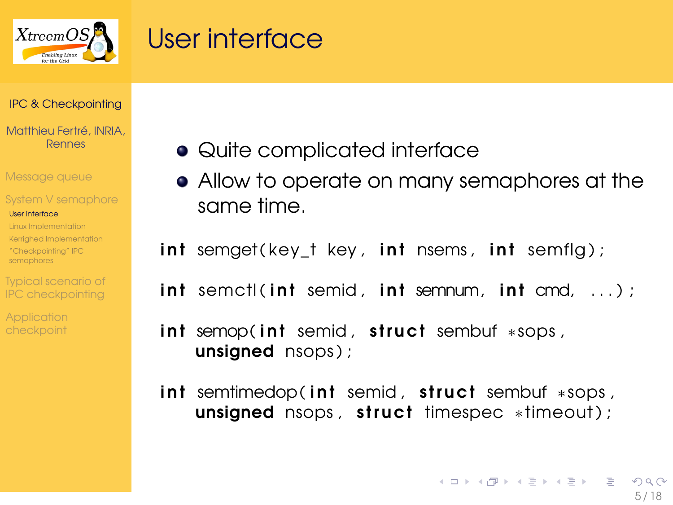

### User interface

#### [IPC & Checkpointing](#page-0-0)

Matthieu Fertré, INRIA Rennes

[Message queue](#page-0-0)

#### [System V semaphore](#page-4-0)

#### [User interface](#page-4-0)

[Linux Implementation](#page-5-0) [Kerrighed Implementation](#page-6-0) ["Checkpointing" IPC](#page-9-0) semaphores

[Typical scenario of](#page-10-0) IPC checkpointing

checkpoint

- Quite complicated interface
- Allow to operate on many semaphores at the same time.

int semget (key\_t key, int nsems, int semflg);

 $int$  semctl( $int$  semid,  $int$  semnum,  $int$  cmd,  $\dots$ );

 $int$  semop(int semid, struct sembuf  $*$ sops, unsigned nsops);

<span id="page-4-0"></span>int semtimedop(int semid, struct sembuf \*sops, unsigned nsops, struct timespec \*timeout);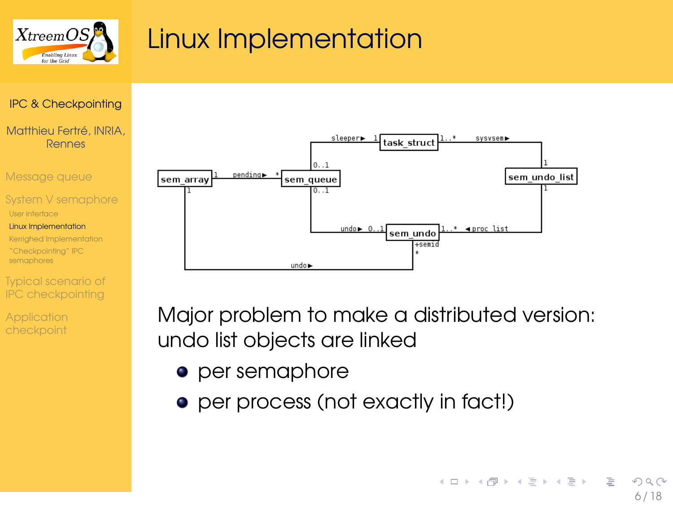

### Linux Implementation

### [IPC & Checkpointing](#page-0-0)

Matthieu Fertré, INRIA, Rennes

[Message queue](#page-0-0)

[System V semaphore](#page-4-0)

[User interface](#page-4-0)

[Linux Implementation](#page-5-0)

[Kerrighed Implementation](#page-6-0) ["Checkpointing" IPC](#page-9-0) semaphores

IPC checkpointing

**[Application](#page-12-0)** 



Major problem to make a distributed version: undo list objects are linked

- per semaphore
- <span id="page-5-0"></span>• per process (not exactly in fact!)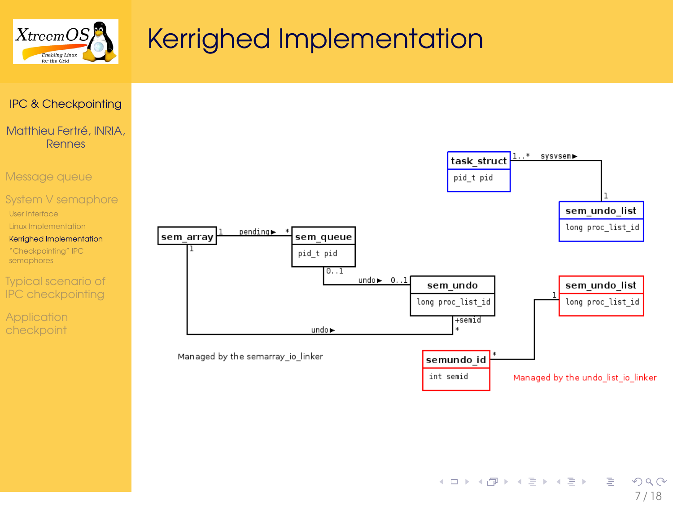

### [IPC & Checkpointing](#page-0-0)

Matthieu Fertré, INRIA, Rennes

[Message queue](#page-0-0)

#### [System V semaphore](#page-4-0)

[User interface](#page-4-0)

[Linux Implementation](#page-5-0)

[Kerrighed Implementation](#page-6-0)

["Checkpointing" IPC](#page-9-0) semaphores

[Typical scenario of](#page-10-0) IPC checkpointing

**[Application](#page-12-0)** 

<span id="page-6-0"></span>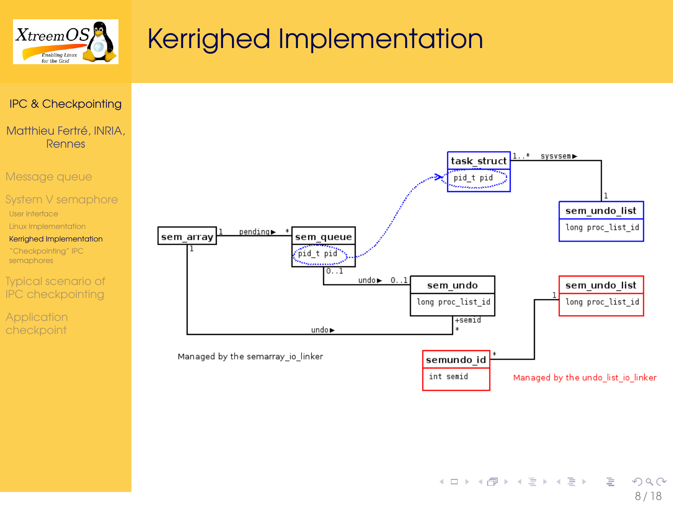

### [IPC & Checkpointing](#page-0-0)

Matthieu Fertré, INRIA, Rennes

[Message queue](#page-0-0)

#### [System V semaphore](#page-4-0)

[User interface](#page-4-0)

[Linux Implementation](#page-5-0)

[Kerrighed Implementation](#page-6-0)

["Checkpointing" IPC](#page-9-0) semaphores

[Typical scenario of](#page-10-0) IPC checkpointing

**[Application](#page-12-0)** checkpoint

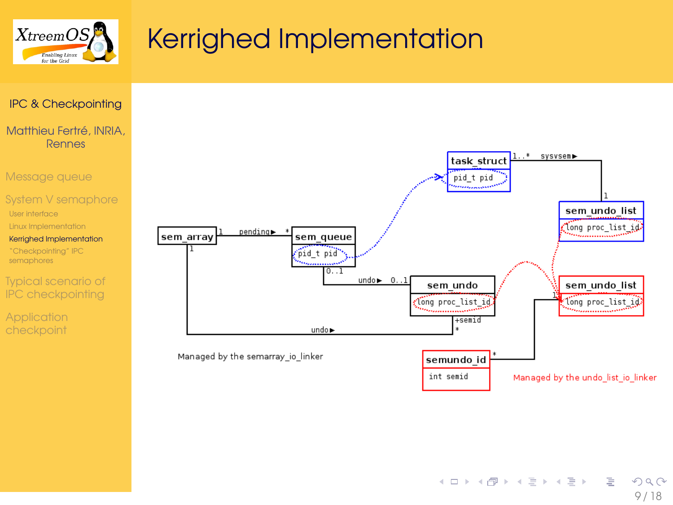

### [IPC & Checkpointing](#page-0-0)

Matthieu Fertré, INRIA, Rennes

[Message queue](#page-0-0)

#### [System V semaphore](#page-4-0)

[User interface](#page-4-0)

[Linux Implementation](#page-5-0)

[Kerrighed Implementation](#page-6-0)

["Checkpointing" IPC](#page-9-0) semaphores

[Typical scenario of](#page-10-0) IPC checkpointing

**[Application](#page-12-0)** checkpoint

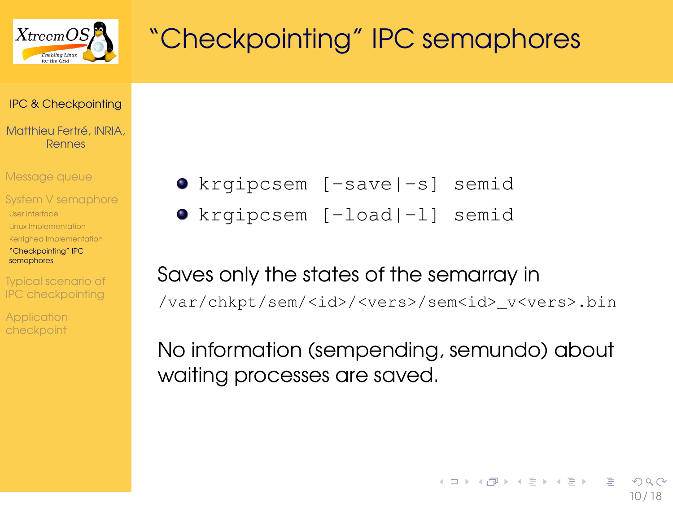

# "Checkpointing" IPC semaphores

#### [IPC & Checkpointing](#page-0-0)

Matthieu Fertré, INRIA, Rennes

[Message queue](#page-0-0)

- [System V semaphore](#page-4-0)
- [User interface](#page-4-0)
- [Linux Implementation](#page-5-0)
- [Kerrighed Implementation](#page-6-0)
- ["Checkpointing" IPC](#page-9-0) semaphores

[Typical scenario of](#page-10-0) IPC checkpointing

checkpoint

- krgipcsem [-save|-s] semid
- krgipcsem [-load|-l] semid

# Saves only the states of the semarray in

/var/chkpt/sem/<id>/<vers>/sem<id>\_v<vers>.bin

<span id="page-9-0"></span>No information (sempending, semundo) about waiting processes are saved.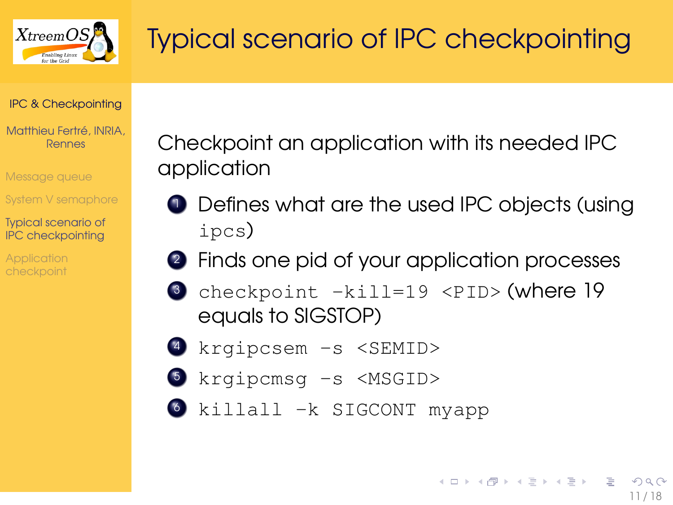

# Typical scenario of IPC checkpointing

### [IPC & Checkpointing](#page-0-0)

Matthieu Fertré, INRIA, Rennes

[Message queue](#page-0-0)

[System V semaphore](#page-4-0)

[Typical scenario of](#page-10-0) IPC checkpointing

Checkpoint an application with its needed IPC application

- **1** Defines what are the used IPC objects (using ipcs)
- <sup>2</sup> Finds one pid of your application processes
- <sup>3</sup> checkpoint -kill=19 <PID> (where 19 equals to SIGSTOP)
- <sup>4</sup> krgipcsem -s <SEMID>
- <sup>5</sup> krgipcmsg -s <MSGID>
- <span id="page-10-0"></span><sup>6</sup> killall -k SIGCONT myapp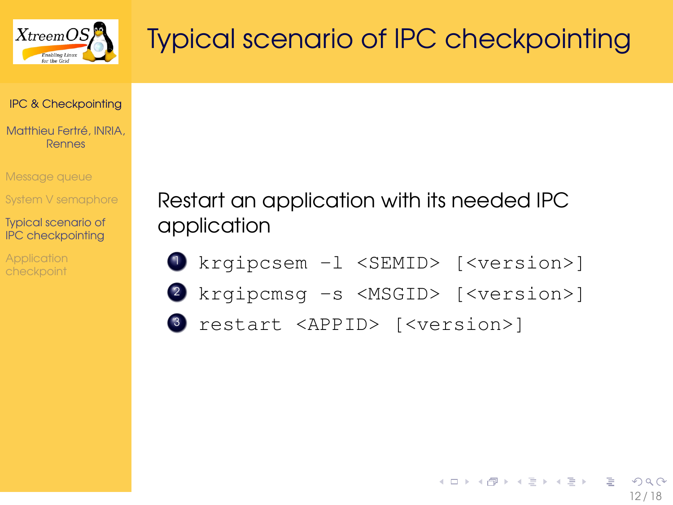

# Typical scenario of IPC checkpointing

#### [IPC & Checkpointing](#page-0-0)

Matthieu Fertré, INRIA, Rennes

[Message queue](#page-0-0)

[System V semaphore](#page-4-0)

[Typical scenario of](#page-10-0) IPC checkpointing

**[Application](#page-12-0)** 

Restart an application with its needed IPC application

- 1 krgipcsem -1 <SEMID> [<version>]
- <sup>2</sup> krgipcmsg -s <MSGID> [<version>]
- <sup>3</sup> restart <APPID> [<version>]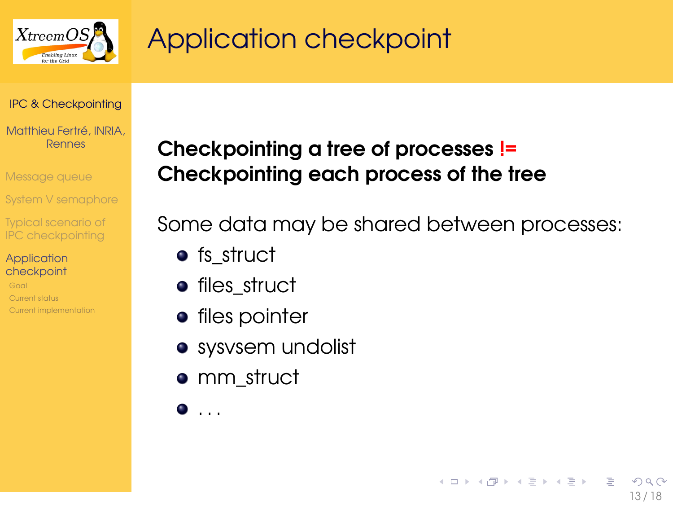

# Application checkpoint

#### [IPC & Checkpointing](#page-0-0)

Matthieu Fertré, INRIA, Rennes

[Message queue](#page-0-0)

[System V semaphore](#page-4-0)

[Typical scenario of](#page-10-0) IPC checkpointing

#### **[Application](#page-12-0)** checkpoint

[Current status](#page-15-0) [Current implementation](#page-16-0)

### Checkpointing a tree of processes != Checkpointing each process of the tree

Some data may be shared between processes:

<span id="page-12-0"></span>13 / 18

つひひ

イロト イ母 トイラ トイラトー

- fs struct
- **•** files struct
- **•** files pointer
- sysvsem undolist
- mm struct
- $\bullet$  . . .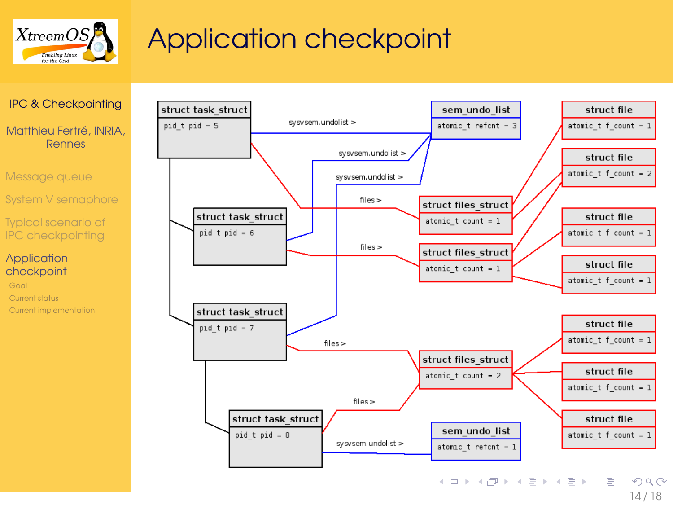

# Application checkpoint





14 / 18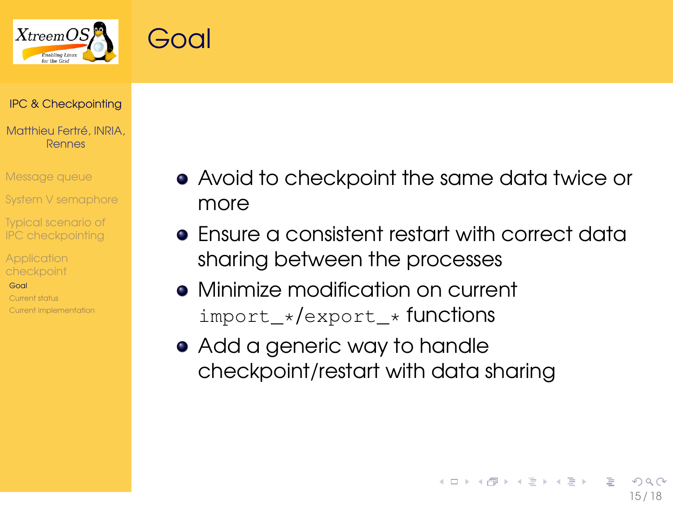



### [IPC & Checkpointing](#page-0-0)

Matthieu Fertré, INRIA, Rennes

[Message queue](#page-0-0)

[System V semaphore](#page-4-0)

[Typical scenario of](#page-10-0) IPC checkpointing

[Goal](#page-14-0)

[Current status](#page-15-0) [Current implementation](#page-16-0)

- Avoid to checkpoint the same data twice or more
- Ensure a consistent restart with correct data sharing between the processes

<span id="page-14-0"></span>15 / 18

**イロト (母) (ヨ) (ヨ)** 

- Minimize modification on current import\_\*/export\_\* functions
- Add a generic way to handle checkpoint/restart with data sharing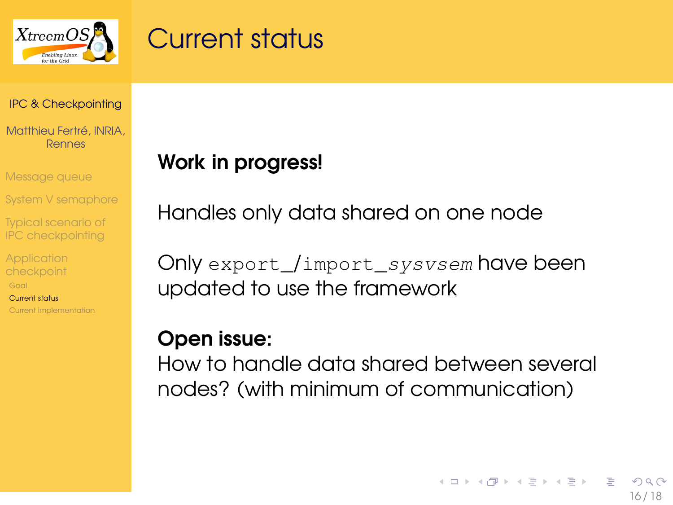

### Current status

#### [IPC & Checkpointing](#page-0-0)

Matthieu Fertré, INRIA, Rennes

[Message queue](#page-0-0)

[System V semaphore](#page-4-0)

[Typical scenario of](#page-10-0) IPC checkpointing

[Current status](#page-15-0) [Current implementation](#page-16-0) Work in progress!

Handles only data shared on one node

Only export /import sysvsem have been updated to use the framework

### Open issue:

<span id="page-15-0"></span>How to handle data shared between several nodes? (with minimum of communication)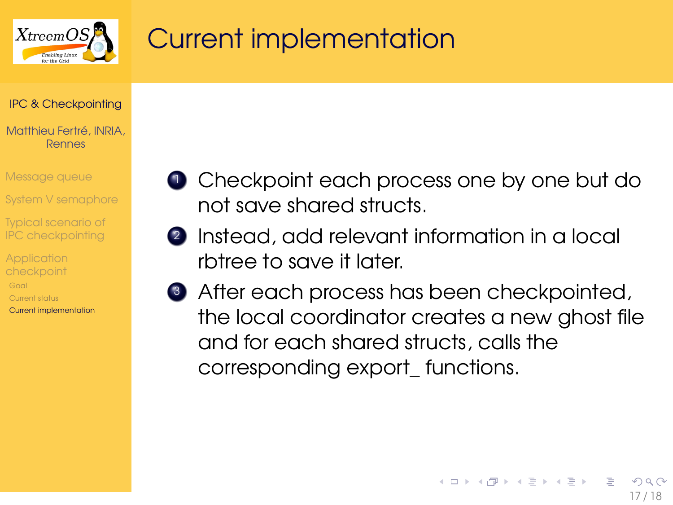

# Current implementation

#### [IPC & Checkpointing](#page-0-0)

#### Matthieu Fertré, INRIA, Rennes

[Message queue](#page-0-0)

[System V semaphore](#page-4-0)

[Typical scenario of](#page-10-0) IPC checkpointing

[Current status](#page-15-0) [Current implementation](#page-16-0)

- **1** Checkpoint each process one by one but do not save shared structs.
- <sup>2</sup> Instead, add relevant information in a local rbtree to save it later.
- <span id="page-16-0"></span><sup>3</sup> After each process has been checkpointed, the local coordinator creates a new ghost file and for each shared structs, calls the corresponding export\_ functions.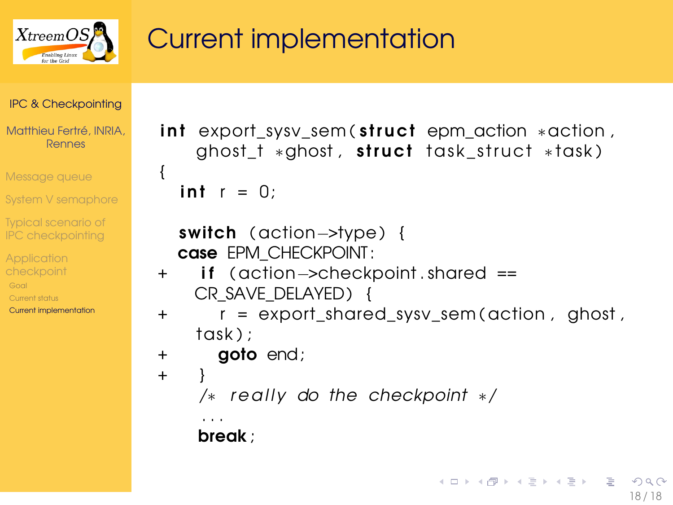

# Current implementation

[IPC & Checkpointing](#page-0-0)

Matthieu Fertré, INRIA, Rennes

[Message queue](#page-0-0)

[System V semaphore](#page-4-0)

[Typical scenario of](#page-10-0) IPC checkpointing

**checkpoint** [Current status](#page-15-0) [Current implementation](#page-16-0)

```
int export sysv_sem ( struct epm_action * action ,
   ghost_t *ghost, struct task_struct *task)
{
  int r = 0:
  switch ( action–>type) {
```

```
case EPM_CHECKPOINT:
```

```
+ if ( action–>checkpoint shared ==
   CR_SAVE_DELAYED) {
```

```
r = export_shared_sysv_sem ( action , ghost ,
task) :
```

```
+ goto end;
```

```
+ }
```

```
/* really do the checkpoint */
```
<span id="page-17-0"></span>. . . break ;